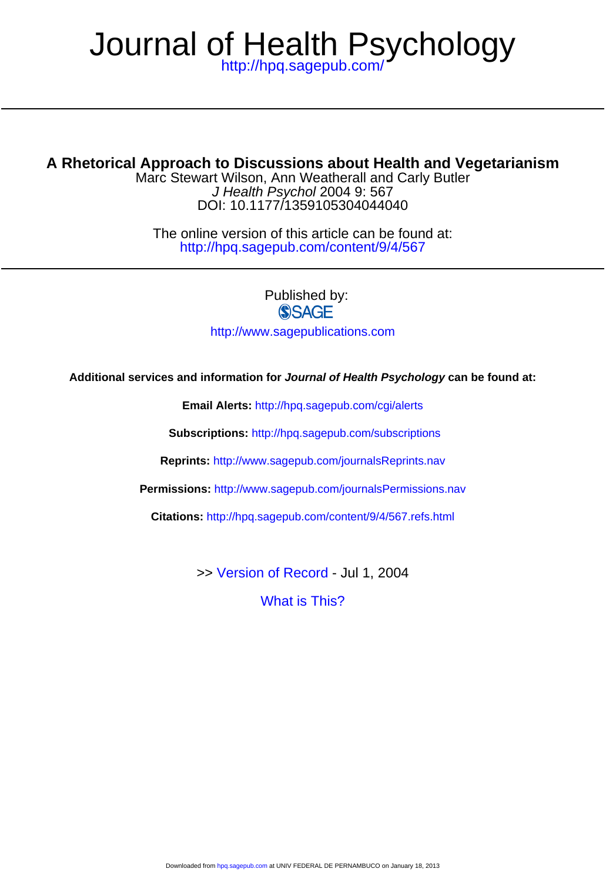## <http://hpq.sagepub.com/> Journal of Health Psychology

## **A Rhetorical Approach to Discussions about Health and Vegetarianism**

DOI: 10.1177/1359105304044040 J Health Psychol 2004 9: 567 Marc Stewart Wilson, Ann Weatherall and Carly Butler

<http://hpq.sagepub.com/content/9/4/567> The online version of this article can be found at:

> Published by: **SSAGE** <http://www.sagepublications.com>

**Additional services and information for Journal of Health Psychology can be found at:**

**Email Alerts:** <http://hpq.sagepub.com/cgi/alerts>

**Subscriptions:** <http://hpq.sagepub.com/subscriptions>

**Reprints:** <http://www.sagepub.com/journalsReprints.nav>

**Permissions:** <http://www.sagepub.com/journalsPermissions.nav>

**Citations:** <http://hpq.sagepub.com/content/9/4/567.refs.html>

>> [Version of Record -](http://hpq.sagepub.com/content/9/4/567.full.pdf) Jul 1, 2004

[What is This?](http://online.sagepub.com/site/sphelp/vorhelp.xhtml)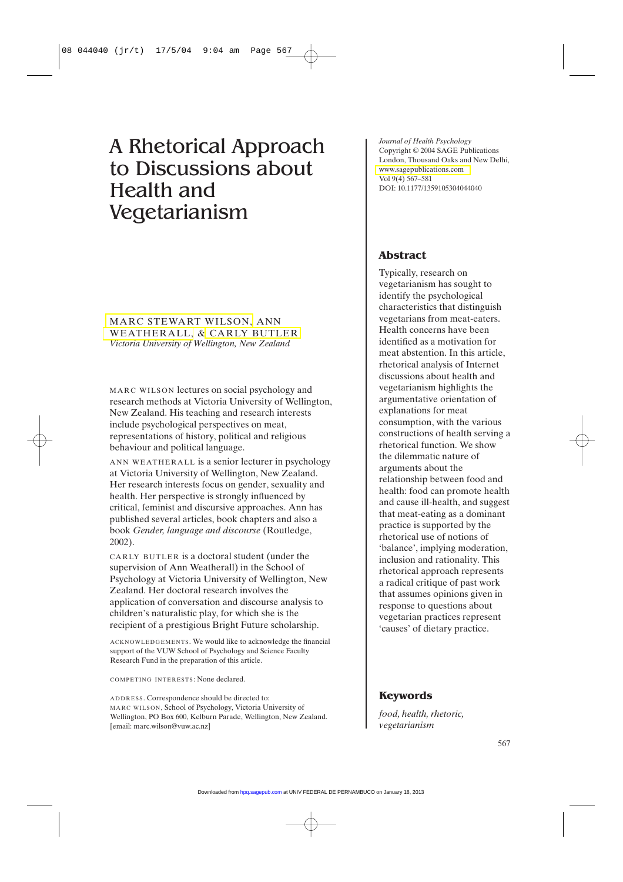# A Rhetorical Approach to Discussions about Health and Vegetarianism

MARC STEWART WILSON, ANN WEATHERALL, & CARLY BUTLER *Victoria University of Wellington, New Zealand*

MARC WILSON lectures on social psychology and research methods at Victoria University of Wellington, New Zealand. His teaching and research interests include psychological perspectives on meat, representations of history, political and religious behaviour and political language.

ANN WEATHERALL is a senior lecturer in psychology at Victoria University of Wellington, New Zealand. Her research interests focus on gender, sexuality and health. Her perspective is strongly influenced by critical, feminist and discursive approaches. Ann has published several articles, book chapters and also a book *Gender, language and discourse* (Routledge, 2002).

CARLY BUTLER is a doctoral student (under the supervision of Ann Weatherall) in the School of Psychology at Victoria University of Wellington, New Zealand. Her doctoral research involves the application of conversation and discourse analysis to children's naturalistic play, for which she is the recipient of a prestigious Bright Future scholarship.

ACKNOWLEDGEMENTS. We would like to acknowledge the financial support of the VUW School of Psychology and Science Faculty Research Fund in the preparation of this article.

COMPETING INTERESTS: None declared.

ADDRESS. Correspondence should be directed to: MARC WILSON, School of Psychology, Victoria University of Wellington, PO Box 600, Kelburn Parade, Wellington, New Zealand. [email: marc.wilson@vuw.ac.nz]

*Journal of Health Psychology* Copyright © 2004 SAGE Publications London, Thousand Oaks and New Delhi, <www.sagepublications.com> Vol 9(4) 567–581 DOI: 10.1177/1359105304044040

## **Abstract**

Typically, research on vegetarianism has sought to identify the psychological characteristics that distinguish vegetarians from meat-eaters. Health concerns have been identified as a motivation for meat abstention. In this article, rhetorical analysis of Internet discussions about health and vegetarianism highlights the argumentative orientation of explanations for meat consumption, with the various constructions of health serving a rhetorical function. We show the dilemmatic nature of arguments about the relationship between food and health: food can promote health and cause ill-health, and suggest that meat-eating as a dominant practice is supported by the rhetorical use of notions of 'balance', implying moderation, inclusion and rationality. This rhetorical approach represents a radical critique of past work that assumes opinions given in response to questions about vegetarian practices represent 'causes' of dietary practice.

#### **Keywords**

*food, health, rhetoric, vegetarianism*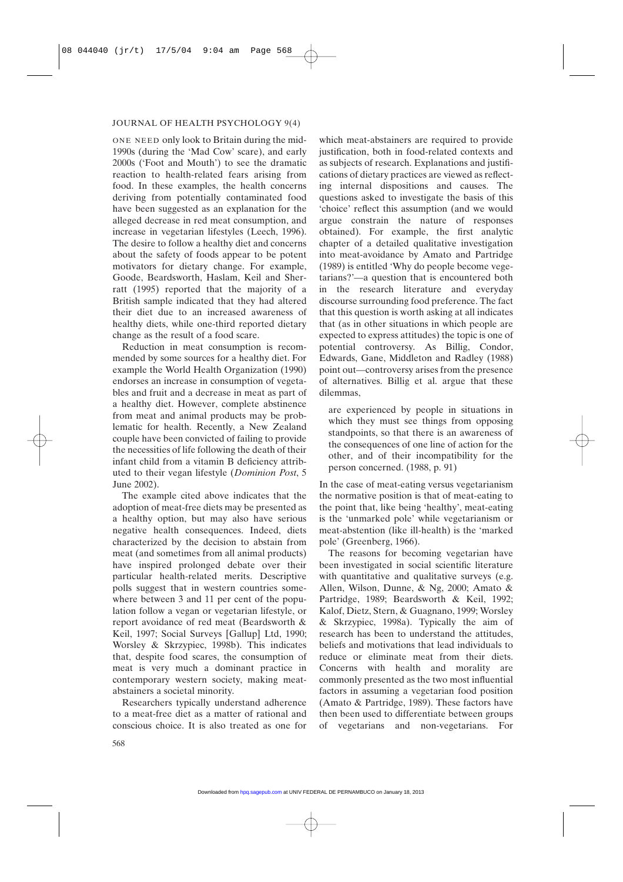ONE NEED only look to Britain during the mid-1990s (during the 'Mad Cow' scare), and early 2000s ('Foot and Mouth') to see the dramatic reaction to health-related fears arising from food. In these examples, the health concerns deriving from potentially contaminated food have been suggested as an explanation for the alleged decrease in red meat consumption, and increase in vegetarian lifestyles (Leech, 1996). The desire to follow a healthy diet and concerns about the safety of foods appear to be potent motivators for dietary change. For example, Goode, Beardsworth, Haslam, Keil and Sherratt (1995) reported that the majority of a British sample indicated that they had altered their diet due to an increased awareness of healthy diets, while one-third reported dietary change as the result of a food scare.

Reduction in meat consumption is recommended by some sources for a healthy diet. For example the World Health Organization (1990) endorses an increase in consumption of vegetables and fruit and a decrease in meat as part of a healthy diet. However, complete abstinence from meat and animal products may be problematic for health. Recently, a New Zealand couple have been convicted of failing to provide the necessities of life following the death of their infant child from a vitamin B deficiency attributed to their vegan lifestyle (*Dominion Post*, 5 June 2002).

The example cited above indicates that the adoption of meat-free diets may be presented as a healthy option, but may also have serious negative health consequences. Indeed, diets characterized by the decision to abstain from meat (and sometimes from all animal products) have inspired prolonged debate over their particular health-related merits. Descriptive polls suggest that in western countries somewhere between 3 and 11 per cent of the population follow a vegan or vegetarian lifestyle, or report avoidance of red meat (Beardsworth & Keil, 1997; Social Surveys [Gallup] Ltd, 1990; Worsley & Skrzypiec, 1998b). This indicates that, despite food scares, the consumption of meat is very much a dominant practice in contemporary western society, making meatabstainers a societal minority.

Researchers typically understand adherence to a meat-free diet as a matter of rational and conscious choice. It is also treated as one for

which meat-abstainers are required to provide justification, both in food-related contexts and as subjects of research. Explanations and justifications of dietary practices are viewed as reflecting internal dispositions and causes. The questions asked to investigate the basis of this 'choice' reflect this assumption (and we would argue constrain the nature of responses obtained). For example, the first analytic chapter of a detailed qualitative investigation into meat-avoidance by Amato and Partridge (1989) is entitled 'Why do people become vegetarians?'—a question that is encountered both in the research literature and everyday discourse surrounding food preference. The fact that this question is worth asking at all indicates that (as in other situations in which people are expected to express attitudes) the topic is one of potential controversy. As Billig, Condor, Edwards, Gane, Middleton and Radley (1988) point out—controversy arises from the presence of alternatives. Billig et al. argue that these dilemmas,

are experienced by people in situations in which they must see things from opposing standpoints, so that there is an awareness of the consequences of one line of action for the other, and of their incompatibility for the person concerned. (1988, p. 91)

In the case of meat-eating versus vegetarianism the normative position is that of meat-eating to the point that, like being 'healthy', meat-eating is the 'unmarked pole' while vegetarianism or meat-abstention (like ill-health) is the 'marked pole' (Greenberg, 1966).

The reasons for becoming vegetarian have been investigated in social scientific literature with quantitative and qualitative surveys (e.g. Allen, Wilson, Dunne, & Ng, 2000; Amato & Partridge, 1989; Beardsworth & Keil, 1992; Kalof, Dietz, Stern, & Guagnano, 1999; Worsley & Skrzypiec, 1998a). Typically the aim of research has been to understand the attitudes, beliefs and motivations that lead individuals to reduce or eliminate meat from their diets. Concerns with health and morality are commonly presented as the two most influential factors in assuming a vegetarian food position (Amato & Partridge, 1989). These factors have then been used to differentiate between groups of vegetarians and non-vegetarians. For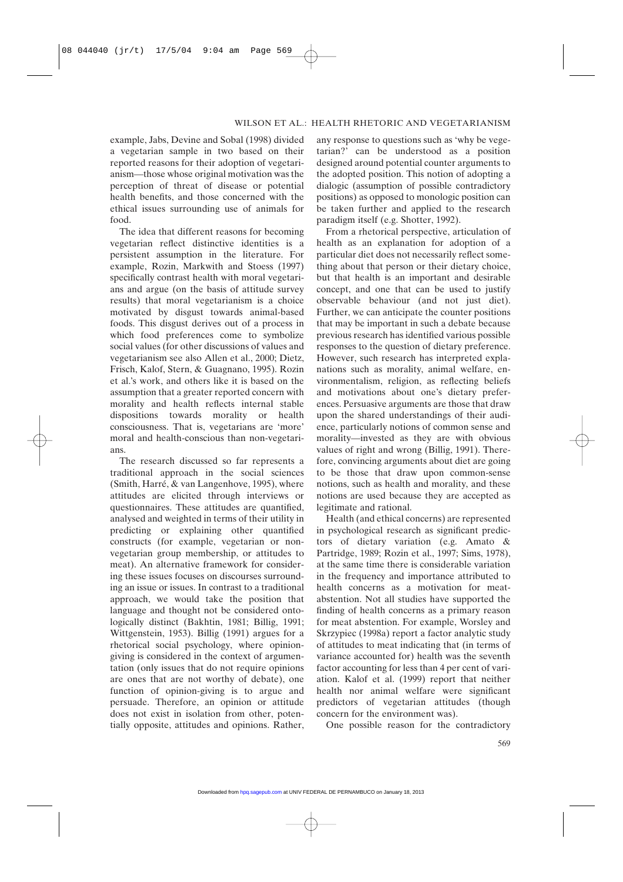example, Jabs, Devine and Sobal (1998) divided a vegetarian sample in two based on their reported reasons for their adoption of vegetarianism—those whose original motivation was the perception of threat of disease or potential health benefits, and those concerned with the ethical issues surrounding use of animals for food.

The idea that different reasons for becoming vegetarian reflect distinctive identities is a persistent assumption in the literature. For example, Rozin, Markwith and Stoess (1997) specifically contrast health with moral vegetarians and argue (on the basis of attitude survey results) that moral vegetarianism is a choice motivated by disgust towards animal-based foods. This disgust derives out of a process in which food preferences come to symbolize social values (for other discussions of values and vegetarianism see also Allen et al., 2000; Dietz, Frisch, Kalof, Stern, & Guagnano, 1995). Rozin et al.'s work, and others like it is based on the assumption that a greater reported concern with morality and health reflects internal stable dispositions towards morality or health consciousness. That is, vegetarians are 'more' moral and health-conscious than non-vegetarians.

The research discussed so far represents a traditional approach in the social sciences (Smith, Harré, & van Langenhove, 1995), where attitudes are elicited through interviews or questionnaires. These attitudes are quantified, analysed and weighted in terms of their utility in predicting or explaining other quantified constructs (for example, vegetarian or nonvegetarian group membership, or attitudes to meat). An alternative framework for considering these issues focuses on discourses surrounding an issue or issues. In contrast to a traditional approach, we would take the position that language and thought not be considered ontologically distinct (Bakhtin, 1981; Billig, 1991; Wittgenstein, 1953). Billig (1991) argues for a rhetorical social psychology, where opiniongiving is considered in the context of argumentation (only issues that do not require opinions are ones that are not worthy of debate), one function of opinion-giving is to argue and persuade. Therefore, an opinion or attitude does not exist in isolation from other, potentially opposite, attitudes and opinions. Rather, any response to questions such as 'why be vegetarian?' can be understood as a position designed around potential counter arguments to the adopted position. This notion of adopting a dialogic (assumption of possible contradictory positions) as opposed to monologic position can be taken further and applied to the research paradigm itself (e.g. Shotter, 1992).

From a rhetorical perspective, articulation of health as an explanation for adoption of a particular diet does not necessarily reflect something about that person or their dietary choice, but that health is an important and desirable concept, and one that can be used to justify observable behaviour (and not just diet). Further, we can anticipate the counter positions that may be important in such a debate because previous research has identified various possible responses to the question of dietary preference. However, such research has interpreted explanations such as morality, animal welfare, environmentalism, religion, as reflecting beliefs and motivations about one's dietary preferences. Persuasive arguments are those that draw upon the shared understandings of their audience, particularly notions of common sense and morality—invested as they are with obvious values of right and wrong (Billig, 1991). Therefore, convincing arguments about diet are going to be those that draw upon common-sense notions, such as health and morality, and these notions are used because they are accepted as legitimate and rational.

Health (and ethical concerns) are represented in psychological research as significant predictors of dietary variation (e.g. Amato & Partridge, 1989; Rozin et al., 1997; Sims, 1978), at the same time there is considerable variation in the frequency and importance attributed to health concerns as a motivation for meatabstention. Not all studies have supported the finding of health concerns as a primary reason for meat abstention. For example, Worsley and Skrzypiec (1998a) report a factor analytic study of attitudes to meat indicating that (in terms of variance accounted for) health was the seventh factor accounting for less than 4 per cent of variation. Kalof et al. (1999) report that neither health nor animal welfare were significant predictors of vegetarian attitudes (though concern for the environment was).

One possible reason for the contradictory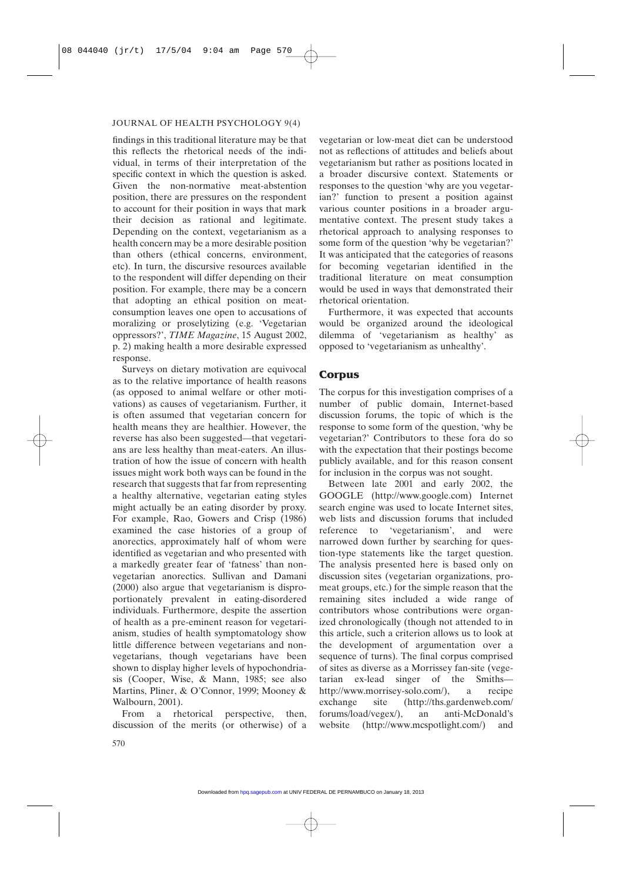findings in this traditional literature may be that this reflects the rhetorical needs of the individual, in terms of their interpretation of the specific context in which the question is asked. Given the non-normative meat-abstention position, there are pressures on the respondent to account for their position in ways that mark their decision as rational and legitimate. Depending on the context, vegetarianism as a health concern may be a more desirable position than others (ethical concerns, environment, etc). In turn, the discursive resources available to the respondent will differ depending on their position. For example, there may be a concern that adopting an ethical position on meatconsumption leaves one open to accusations of moralizing or proselytizing (e.g. 'Vegetarian oppressors?', *TIME Magazine*, 15 August 2002, p. 2) making health a more desirable expressed response.

Surveys on dietary motivation are equivocal as to the relative importance of health reasons (as opposed to animal welfare or other motivations) as causes of vegetarianism. Further, it is often assumed that vegetarian concern for health means they are healthier. However, the reverse has also been suggested—that vegetarians are less healthy than meat-eaters. An illustration of how the issue of concern with health issues might work both ways can be found in the research that suggests that far from representing a healthy alternative, vegetarian eating styles might actually be an eating disorder by proxy. For example, Rao, Gowers and Crisp (1986) examined the case histories of a group of anorectics, approximately half of whom were identified as vegetarian and who presented with a markedly greater fear of 'fatness' than nonvegetarian anorectics. Sullivan and Damani (2000) also argue that vegetarianism is disproportionately prevalent in eating-disordered individuals. Furthermore, despite the assertion of health as a pre-eminent reason for vegetarianism, studies of health symptomatology show little difference between vegetarians and nonvegetarians, though vegetarians have been shown to display higher levels of hypochondriasis (Cooper, Wise, & Mann, 1985; see also Martins, Pliner, & O'Connor, 1999; Mooney & Walbourn, 2001).

From a rhetorical perspective, then, discussion of the merits (or otherwise) of a

vegetarian or low-meat diet can be understood not as reflections of attitudes and beliefs about vegetarianism but rather as positions located in a broader discursive context. Statements or responses to the question 'why are you vegetarian?' function to present a position against various counter positions in a broader argumentative context. The present study takes a rhetorical approach to analysing responses to some form of the question 'why be vegetarian?' It was anticipated that the categories of reasons for becoming vegetarian identified in the traditional literature on meat consumption would be used in ways that demonstrated their rhetorical orientation.

Furthermore, it was expected that accounts would be organized around the ideological dilemma of 'vegetarianism as healthy' as opposed to 'vegetarianism as unhealthy'.

## **Corpus**

The corpus for this investigation comprises of a number of public domain, Internet-based discussion forums, the topic of which is the response to some form of the question, 'why be vegetarian?' Contributors to these fora do so with the expectation that their postings become publicly available, and for this reason consent for inclusion in the corpus was not sought.

Between late 2001 and early 2002, the GOOGLE (http://www.google.com) Internet search engine was used to locate Internet sites, web lists and discussion forums that included reference to 'vegetarianism', and were narrowed down further by searching for question-type statements like the target question. The analysis presented here is based only on discussion sites (vegetarian organizations, promeat groups, etc.) for the simple reason that the remaining sites included a wide range of contributors whose contributions were organized chronologically (though not attended to in this article, such a criterion allows us to look at the development of argumentation over a sequence of turns). The final corpus comprised of sites as diverse as a Morrissey fan-site (vegetarian ex-lead singer of the Smiths http://www.morrisey-solo.com/), a recipe exchange site (http://ths.gardenweb.com/ forums/load/vegex/), an anti-McDonald's website (http://www.mcspotlight.com/) and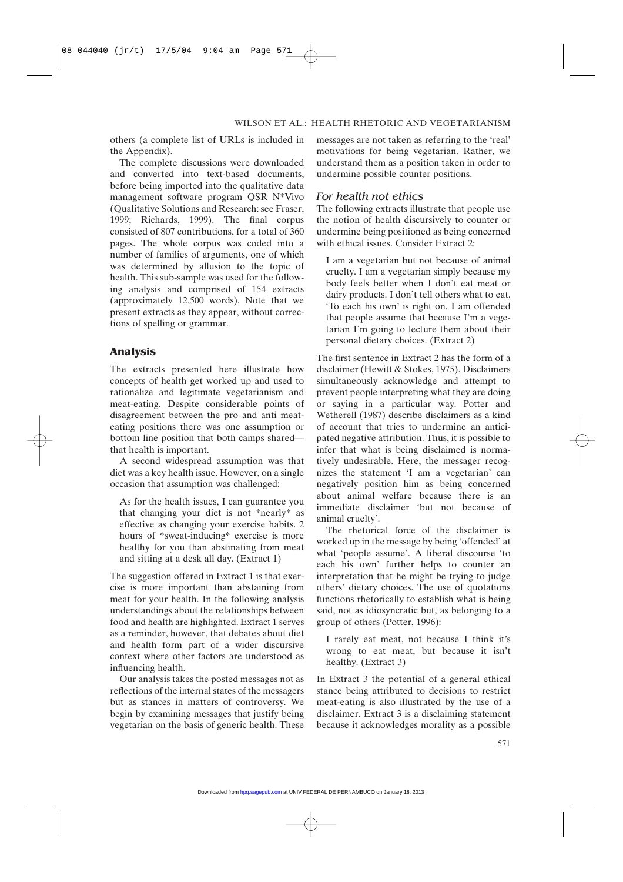others (a complete list of URLs is included in the Appendix).

The complete discussions were downloaded and converted into text-based documents, before being imported into the qualitative data management software program QSR N\*Vivo (Qualitative Solutions and Research: see Fraser, 1999; Richards, 1999). The final corpus consisted of 807 contributions, for a total of 360 pages. The whole corpus was coded into a number of families of arguments, one of which was determined by allusion to the topic of health. This sub-sample was used for the following analysis and comprised of 154 extracts (approximately 12,500 words). Note that we present extracts as they appear, without corrections of spelling or grammar.

## **Analysis**

The extracts presented here illustrate how concepts of health get worked up and used to rationalize and legitimate vegetarianism and meat-eating. Despite considerable points of disagreement between the pro and anti meateating positions there was one assumption or bottom line position that both camps shared that health is important.

A second widespread assumption was that diet was a key health issue. However, on a single occasion that assumption was challenged:

As for the health issues, I can guarantee you that changing your diet is not \*nearly\* as effective as changing your exercise habits. 2 hours of \*sweat-inducing\* exercise is more healthy for you than abstinating from meat and sitting at a desk all day. (Extract 1)

The suggestion offered in Extract 1 is that exercise is more important than abstaining from meat for your health. In the following analysis understandings about the relationships between food and health are highlighted. Extract 1 serves as a reminder, however, that debates about diet and health form part of a wider discursive context where other factors are understood as influencing health.

Our analysis takes the posted messages not as reflections of the internal states of the messagers but as stances in matters of controversy. We begin by examining messages that justify being vegetarian on the basis of generic health. These

messages are not taken as referring to the 'real' motivations for being vegetarian. Rather, we understand them as a position taken in order to undermine possible counter positions.

## *For health not ethics*

The following extracts illustrate that people use the notion of health discursively to counter or undermine being positioned as being concerned with ethical issues. Consider Extract 2:

I am a vegetarian but not because of animal cruelty. I am a vegetarian simply because my body feels better when I don't eat meat or dairy products. I don't tell others what to eat. 'To each his own' is right on. I am offended that people assume that because I'm a vegetarian I'm going to lecture them about their personal dietary choices. (Extract 2)

The first sentence in Extract 2 has the form of a disclaimer (Hewitt & Stokes, 1975). Disclaimers simultaneously acknowledge and attempt to prevent people interpreting what they are doing or saying in a particular way. Potter and Wetherell (1987) describe disclaimers as a kind of account that tries to undermine an anticipated negative attribution. Thus, it is possible to infer that what is being disclaimed is normatively undesirable. Here, the messager recognizes the statement 'I am a vegetarian' can negatively position him as being concerned about animal welfare because there is an immediate disclaimer 'but not because of animal cruelty'.

The rhetorical force of the disclaimer is worked up in the message by being 'offended' at what 'people assume'. A liberal discourse 'to each his own' further helps to counter an interpretation that he might be trying to judge others' dietary choices. The use of quotations functions rhetorically to establish what is being said, not as idiosyncratic but, as belonging to a group of others (Potter, 1996):

I rarely eat meat, not because I think it's wrong to eat meat, but because it isn't healthy. (Extract 3)

In Extract 3 the potential of a general ethical stance being attributed to decisions to restrict meat-eating is also illustrated by the use of a disclaimer. Extract 3 is a disclaiming statement because it acknowledges morality as a possible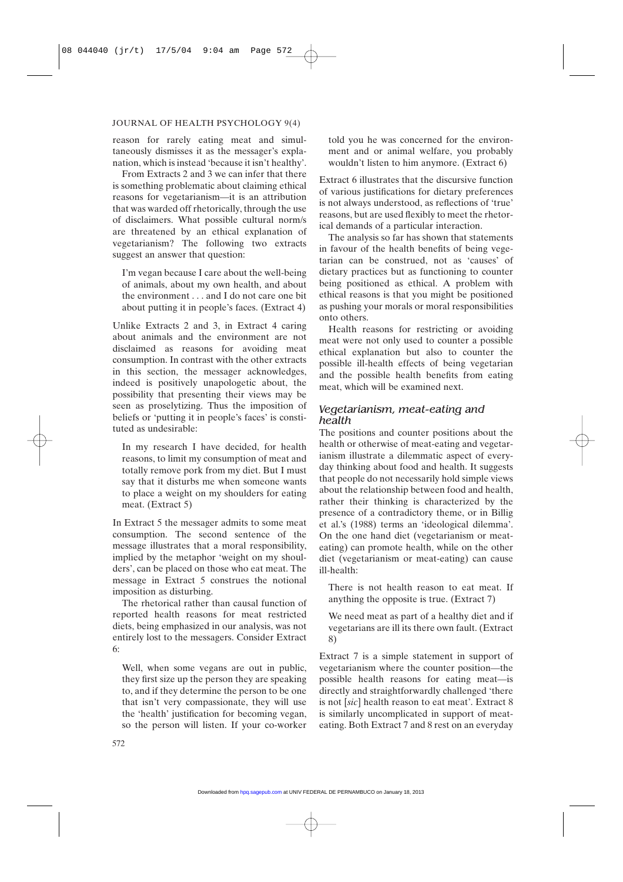reason for rarely eating meat and simultaneously dismisses it as the messager's explanation, which is instead 'because it isn't healthy'.

From Extracts 2 and 3 we can infer that there is something problematic about claiming ethical reasons for vegetarianism—it is an attribution that was warded off rhetorically, through the use of disclaimers. What possible cultural norm/s are threatened by an ethical explanation of vegetarianism? The following two extracts suggest an answer that question:

I'm vegan because I care about the well-being of animals, about my own health, and about the environment . . . and I do not care one bit about putting it in people's faces. (Extract 4)

Unlike Extracts 2 and 3, in Extract 4 caring about animals and the environment are not disclaimed as reasons for avoiding meat consumption. In contrast with the other extracts in this section, the messager acknowledges, indeed is positively unapologetic about, the possibility that presenting their views may be seen as proselytizing. Thus the imposition of beliefs or 'putting it in people's faces' is constituted as undesirable:

In my research I have decided, for health reasons, to limit my consumption of meat and totally remove pork from my diet. But I must say that it disturbs me when someone wants to place a weight on my shoulders for eating meat. (Extract 5)

In Extract 5 the messager admits to some meat consumption. The second sentence of the message illustrates that a moral responsibility, implied by the metaphor 'weight on my shoulders', can be placed on those who eat meat. The message in Extract 5 construes the notional imposition as disturbing.

The rhetorical rather than causal function of reported health reasons for meat restricted diets, being emphasized in our analysis, was not entirely lost to the messagers. Consider Extract 6:

Well, when some vegans are out in public, they first size up the person they are speaking to, and if they determine the person to be one that isn't very compassionate, they will use the 'health' justification for becoming vegan, so the person will listen. If your co-worker told you he was concerned for the environment and or animal welfare, you probably wouldn't listen to him anymore. (Extract 6)

Extract 6 illustrates that the discursive function of various justifications for dietary preferences is not always understood, as reflections of 'true' reasons, but are used flexibly to meet the rhetorical demands of a particular interaction.

The analysis so far has shown that statements in favour of the health benefits of being vegetarian can be construed, not as 'causes' of dietary practices but as functioning to counter being positioned as ethical. A problem with ethical reasons is that you might be positioned as pushing your morals or moral responsibilities onto others.

Health reasons for restricting or avoiding meat were not only used to counter a possible ethical explanation but also to counter the possible ill-health effects of being vegetarian and the possible health benefits from eating meat, which will be examined next.

#### *Vegetarianism, meat-eating and health*

The positions and counter positions about the health or otherwise of meat-eating and vegetarianism illustrate a dilemmatic aspect of everyday thinking about food and health. It suggests that people do not necessarily hold simple views about the relationship between food and health, rather their thinking is characterized by the presence of a contradictory theme, or in Billig et al.'s (1988) terms an 'ideological dilemma'. On the one hand diet (vegetarianism or meateating) can promote health, while on the other diet (vegetarianism or meat-eating) can cause ill-health:

There is not health reason to eat meat. If anything the opposite is true. (Extract 7)

We need meat as part of a healthy diet and if vegetarians are ill its there own fault. (Extract 8)

Extract 7 is a simple statement in support of vegetarianism where the counter position—the possible health reasons for eating meat—is directly and straightforwardly challenged 'there is not [*sic*] health reason to eat meat'. Extract 8 is similarly uncomplicated in support of meateating. Both Extract 7 and 8 rest on an everyday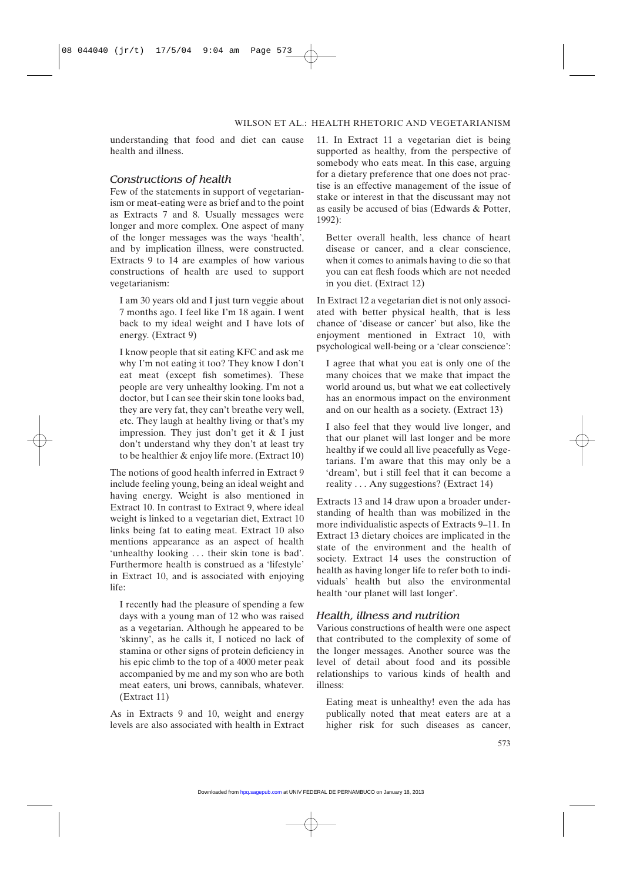understanding that food and diet can cause health and illness.

## *Constructions of health*

Few of the statements in support of vegetarianism or meat-eating were as brief and to the point as Extracts 7 and 8. Usually messages were longer and more complex. One aspect of many of the longer messages was the ways 'health', and by implication illness, were constructed. Extracts 9 to 14 are examples of how various constructions of health are used to support vegetarianism:

I am 30 years old and I just turn veggie about 7 months ago. I feel like I'm 18 again. I went back to my ideal weight and I have lots of energy. (Extract 9)

I know people that sit eating KFC and ask me why I'm not eating it too? They know I don't eat meat (except fish sometimes). These people are very unhealthy looking. I'm not a doctor, but I can see their skin tone looks bad, they are very fat, they can't breathe very well, etc. They laugh at healthy living or that's my impression. They just don't get it & I just don't understand why they don't at least try to be healthier & enjoy life more. (Extract 10)

The notions of good health inferred in Extract 9 include feeling young, being an ideal weight and having energy. Weight is also mentioned in Extract 10. In contrast to Extract 9, where ideal weight is linked to a vegetarian diet, Extract 10 links being fat to eating meat. Extract 10 also mentions appearance as an aspect of health 'unhealthy looking . . . their skin tone is bad'. Furthermore health is construed as a 'lifestyle' in Extract 10, and is associated with enjoying life:

I recently had the pleasure of spending a few days with a young man of 12 who was raised as a vegetarian. Although he appeared to be 'skinny', as he calls it, I noticed no lack of stamina or other signs of protein deficiency in his epic climb to the top of a 4000 meter peak accompanied by me and my son who are both meat eaters, uni brows, cannibals, whatever. (Extract 11)

As in Extracts 9 and 10, weight and energy levels are also associated with health in Extract 11. In Extract 11 a vegetarian diet is being supported as healthy, from the perspective of somebody who eats meat. In this case, arguing for a dietary preference that one does not practise is an effective management of the issue of stake or interest in that the discussant may not as easily be accused of bias (Edwards & Potter, 1992):

Better overall health, less chance of heart disease or cancer, and a clear conscience, when it comes to animals having to die so that you can eat flesh foods which are not needed in you diet. (Extract 12)

In Extract 12 a vegetarian diet is not only associated with better physical health, that is less chance of 'disease or cancer' but also, like the enjoyment mentioned in Extract 10, with psychological well-being or a 'clear conscience':

I agree that what you eat is only one of the many choices that we make that impact the world around us, but what we eat collectively has an enormous impact on the environment and on our health as a society. (Extract 13)

I also feel that they would live longer, and that our planet will last longer and be more healthy if we could all live peacefully as Vegetarians. I'm aware that this may only be a 'dream', but i still feel that it can become a reality . . . Any suggestions? (Extract 14)

Extracts 13 and 14 draw upon a broader understanding of health than was mobilized in the more individualistic aspects of Extracts 9–11. In Extract 13 dietary choices are implicated in the state of the environment and the health of society. Extract 14 uses the construction of health as having longer life to refer both to individuals' health but also the environmental health 'our planet will last longer'.

#### *Health, illness and nutrition*

Various constructions of health were one aspect that contributed to the complexity of some of the longer messages. Another source was the level of detail about food and its possible relationships to various kinds of health and illness:

Eating meat is unhealthy! even the ada has publically noted that meat eaters are at a higher risk for such diseases as cancer,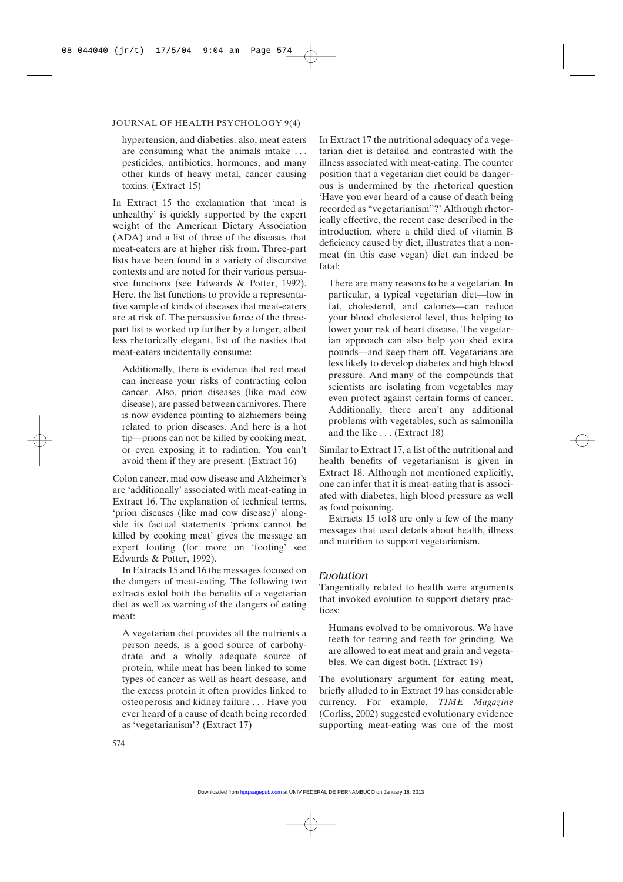hypertension, and diabeties. also, meat eaters are consuming what the animals intake . . . pesticides, antibiotics, hormones, and many other kinds of heavy metal, cancer causing toxins. (Extract 15)

In Extract 15 the exclamation that 'meat is unhealthy' is quickly supported by the expert weight of the American Dietary Association (ADA) and a list of three of the diseases that meat-eaters are at higher risk from. Three-part lists have been found in a variety of discursive contexts and are noted for their various persuasive functions (see Edwards & Potter, 1992). Here, the list functions to provide a representative sample of kinds of diseases that meat-eaters are at risk of. The persuasive force of the threepart list is worked up further by a longer, albeit less rhetorically elegant, list of the nasties that meat-eaters incidentally consume:

Additionally, there is evidence that red meat can increase your risks of contracting colon cancer. Also, prion diseases (like mad cow disease), are passed between carnivores. There is now evidence pointing to alzhiemers being related to prion diseases. And here is a hot tip—prions can not be killed by cooking meat, or even exposing it to radiation. You can't avoid them if they are present. (Extract 16)

Colon cancer, mad cow disease and Alzheimer's are 'additionally' associated with meat-eating in Extract 16. The explanation of technical terms, 'prion diseases (like mad cow disease)' alongside its factual statements 'prions cannot be killed by cooking meat' gives the message an expert footing (for more on 'footing' see Edwards & Potter, 1992).

In Extracts 15 and 16 the messages focused on the dangers of meat-eating. The following two extracts extol both the benefits of a vegetarian diet as well as warning of the dangers of eating meat:

A vegetarian diet provides all the nutrients a person needs, is a good source of carbohydrate and a wholly adequate source of protein, while meat has been linked to some types of cancer as well as heart desease, and the excess protein it often provides linked to osteoperosis and kidney failure . . . Have you ever heard of a cause of death being recorded as 'vegetarianism'? (Extract 17)

In Extract 17 the nutritional adequacy of a vegetarian diet is detailed and contrasted with the illness associated with meat-eating. The counter position that a vegetarian diet could be dangerous is undermined by the rhetorical question 'Have you ever heard of a cause of death being recorded as "vegetarianism"?' Although rhetorically effective, the recent case described in the introduction, where a child died of vitamin B deficiency caused by diet, illustrates that a nonmeat (in this case vegan) diet can indeed be fatal:

There are many reasons to be a vegetarian. In particular, a typical vegetarian diet—low in fat, cholesterol, and calories—can reduce your blood cholesterol level, thus helping to lower your risk of heart disease. The vegetarian approach can also help you shed extra pounds—and keep them off. Vegetarians are less likely to develop diabetes and high blood pressure. And many of the compounds that scientists are isolating from vegetables may even protect against certain forms of cancer. Additionally, there aren't any additional problems with vegetables, such as salmonilla and the like . . . (Extract 18)

Similar to Extract 17, a list of the nutritional and health benefits of vegetarianism is given in Extract 18. Although not mentioned explicitly, one can infer that it is meat-eating that is associated with diabetes, high blood pressure as well as food poisoning.

Extracts 15 to18 are only a few of the many messages that used details about health, illness and nutrition to support vegetarianism.

#### *Evolution*

Tangentially related to health were arguments that invoked evolution to support dietary practices:

Humans evolved to be omnivorous. We have teeth for tearing and teeth for grinding. We are allowed to eat meat and grain and vegetables. We can digest both. (Extract 19)

The evolutionary argument for eating meat, briefly alluded to in Extract 19 has considerable currency. For example, *TIME Magazine* (Corliss, 2002) suggested evolutionary evidence supporting meat-eating was one of the most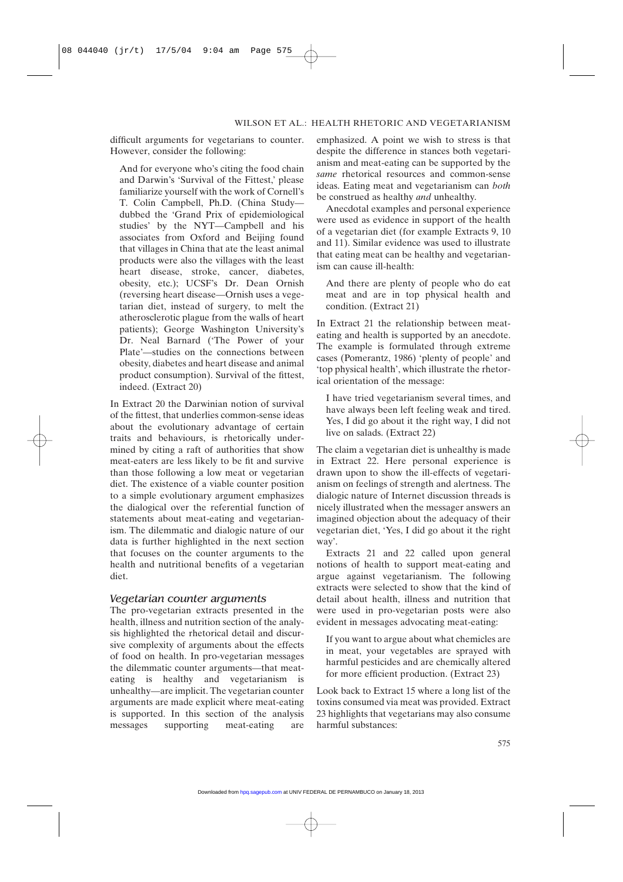difficult arguments for vegetarians to counter. However, consider the following:

And for everyone who's citing the food chain and Darwin's 'Survival of the Fittest,' please familiarize yourself with the work of Cornell's T. Colin Campbell, Ph.D. (China Study dubbed the 'Grand Prix of epidemiological studies' by the NYT—Campbell and his associates from Oxford and Beijing found that villages in China that ate the least animal products were also the villages with the least heart disease, stroke, cancer, diabetes, obesity, etc.); UCSF's Dr. Dean Ornish (reversing heart disease—Ornish uses a vegetarian diet, instead of surgery, to melt the atherosclerotic plague from the walls of heart patients); George Washington University's Dr. Neal Barnard ('The Power of your Plate'—studies on the connections between obesity, diabetes and heart disease and animal product consumption). Survival of the fittest, indeed. (Extract 20)

In Extract 20 the Darwinian notion of survival of the fittest, that underlies common-sense ideas about the evolutionary advantage of certain traits and behaviours, is rhetorically undermined by citing a raft of authorities that show meat-eaters are less likely to be fit and survive than those following a low meat or vegetarian diet. The existence of a viable counter position to a simple evolutionary argument emphasizes the dialogical over the referential function of statements about meat-eating and vegetarianism. The dilemmatic and dialogic nature of our data is further highlighted in the next section that focuses on the counter arguments to the health and nutritional benefits of a vegetarian diet.

#### *Vegetarian counter arguments*

The pro-vegetarian extracts presented in the health, illness and nutrition section of the analysis highlighted the rhetorical detail and discursive complexity of arguments about the effects of food on health. In pro-vegetarian messages the dilemmatic counter arguments—that meateating is healthy and vegetarianism is unhealthy—are implicit. The vegetarian counter arguments are made explicit where meat-eating is supported. In this section of the analysis messages supporting meat-eating are

emphasized. A point we wish to stress is that despite the difference in stances both vegetarianism and meat-eating can be supported by the *same* rhetorical resources and common-sense ideas. Eating meat and vegetarianism can *both* be construed as healthy *and* unhealthy.

Anecdotal examples and personal experience were used as evidence in support of the health of a vegetarian diet (for example Extracts 9, 10 and 11). Similar evidence was used to illustrate that eating meat can be healthy and vegetarianism can cause ill-health:

And there are plenty of people who do eat meat and are in top physical health and condition. (Extract 21)

In Extract 21 the relationship between meateating and health is supported by an anecdote. The example is formulated through extreme cases (Pomerantz, 1986) 'plenty of people' and 'top physical health', which illustrate the rhetorical orientation of the message:

I have tried vegetarianism several times, and have always been left feeling weak and tired. Yes, I did go about it the right way, I did not live on salads. (Extract 22)

The claim a vegetarian diet is unhealthy is made in Extract 22. Here personal experience is drawn upon to show the ill-effects of vegetarianism on feelings of strength and alertness. The dialogic nature of Internet discussion threads is nicely illustrated when the messager answers an imagined objection about the adequacy of their vegetarian diet, 'Yes, I did go about it the right way'.

Extracts 21 and 22 called upon general notions of health to support meat-eating and argue against vegetarianism. The following extracts were selected to show that the kind of detail about health, illness and nutrition that were used in pro-vegetarian posts were also evident in messages advocating meat-eating:

If you want to argue about what chemicles are in meat, your vegetables are sprayed with harmful pesticides and are chemically altered for more efficient production. (Extract 23)

Look back to Extract 15 where a long list of the toxins consumed via meat was provided. Extract 23 highlights that vegetarians may also consume harmful substances: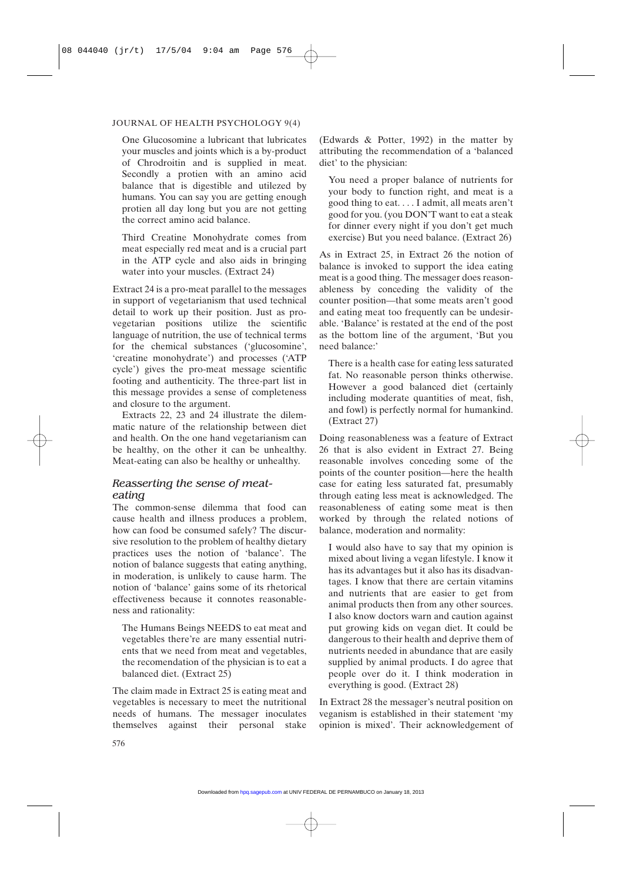One Glucosomine a lubricant that lubricates your muscles and joints which is a by-product of Chrodroitin and is supplied in meat. Secondly a protien with an amino acid balance that is digestible and utilezed by humans. You can say you are getting enough protien all day long but you are not getting the correct amino acid balance.

Third Creatine Monohydrate comes from meat especially red meat and is a crucial part in the ATP cycle and also aids in bringing water into your muscles. (Extract 24)

Extract 24 is a pro-meat parallel to the messages in support of vegetarianism that used technical detail to work up their position. Just as provegetarian positions utilize the scientific language of nutrition, the use of technical terms for the chemical substances ('glucosomine', 'creatine monohydrate') and processes ('ATP cycle') gives the pro-meat message scientific footing and authenticity. The three-part list in this message provides a sense of completeness and closure to the argument.

Extracts 22, 23 and 24 illustrate the dilemmatic nature of the relationship between diet and health. On the one hand vegetarianism can be healthy, on the other it can be unhealthy. Meat-eating can also be healthy or unhealthy.

#### *Reasserting the sense of meateating*

The common-sense dilemma that food can cause health and illness produces a problem, how can food be consumed safely? The discursive resolution to the problem of healthy dietary practices uses the notion of 'balance'. The notion of balance suggests that eating anything, in moderation, is unlikely to cause harm. The notion of 'balance' gains some of its rhetorical effectiveness because it connotes reasonableness and rationality:

The Humans Beings NEEDS to eat meat and vegetables there're are many essential nutrients that we need from meat and vegetables, the recomendation of the physician is to eat a balanced diet. (Extract 25)

The claim made in Extract 25 is eating meat and vegetables is necessary to meet the nutritional needs of humans. The messager inoculates themselves against their personal stake

(Edwards & Potter, 1992) in the matter by attributing the recommendation of a 'balanced diet' to the physician:

You need a proper balance of nutrients for your body to function right, and meat is a good thing to eat. . . . I admit, all meats aren't good for you. (you DON'T want to eat a steak for dinner every night if you don't get much exercise) But you need balance. (Extract 26)

As in Extract 25, in Extract 26 the notion of balance is invoked to support the idea eating meat is a good thing. The messager does reasonableness by conceding the validity of the counter position—that some meats aren't good and eating meat too frequently can be undesirable. 'Balance' is restated at the end of the post as the bottom line of the argument, 'But you need balance:'

There is a health case for eating less saturated fat. No reasonable person thinks otherwise. However a good balanced diet (certainly including moderate quantities of meat, fish, and fowl) is perfectly normal for humankind. (Extract 27)

Doing reasonableness was a feature of Extract 26 that is also evident in Extract 27. Being reasonable involves conceding some of the points of the counter position—here the health case for eating less saturated fat, presumably through eating less meat is acknowledged. The reasonableness of eating some meat is then worked by through the related notions of balance, moderation and normality:

I would also have to say that my opinion is mixed about living a vegan lifestyle. I know it has its advantages but it also has its disadvantages. I know that there are certain vitamins and nutrients that are easier to get from animal products then from any other sources. I also know doctors warn and caution against put growing kids on vegan diet. It could be dangerous to their health and deprive them of nutrients needed in abundance that are easily supplied by animal products. I do agree that people over do it. I think moderation in everything is good. (Extract 28)

In Extract 28 the messager's neutral position on veganism is established in their statement 'my opinion is mixed'. Their acknowledgement of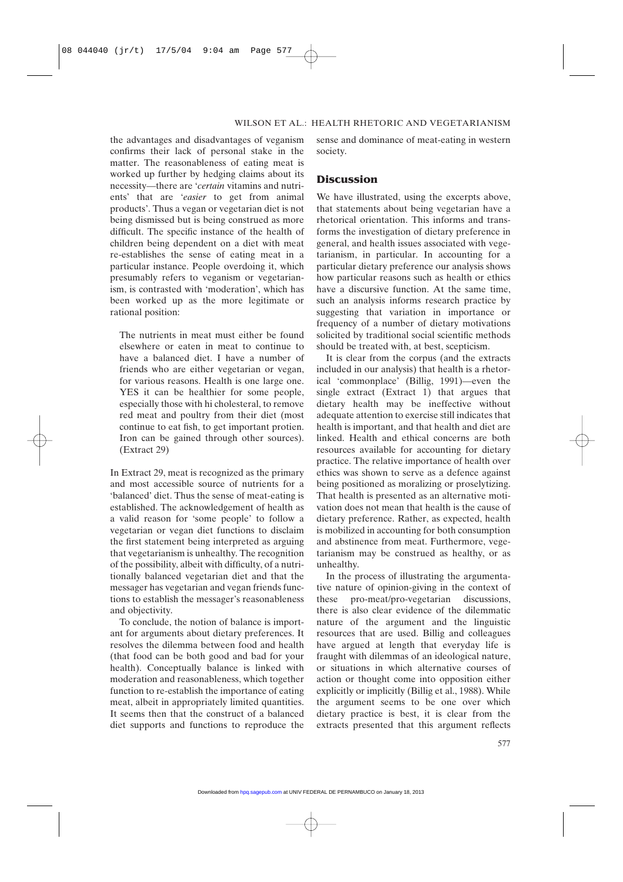the advantages and disadvantages of veganism confirms their lack of personal stake in the matter. The reasonableness of eating meat is worked up further by hedging claims about its necessity—there are '*certain* vitamins and nutrients' that are '*easier* to get from animal products'. Thus a vegan or vegetarian diet is not being dismissed but is being construed as more difficult. The specific instance of the health of children being dependent on a diet with meat re-establishes the sense of eating meat in a particular instance. People overdoing it, which presumably refers to veganism or vegetarianism, is contrasted with 'moderation', which has been worked up as the more legitimate or rational position:

The nutrients in meat must either be found elsewhere or eaten in meat to continue to have a balanced diet. I have a number of friends who are either vegetarian or vegan, for various reasons. Health is one large one. YES it can be healthier for some people, especially those with hi cholesteral, to remove red meat and poultry from their diet (most continue to eat fish, to get important protien. Iron can be gained through other sources). (Extract 29)

In Extract 29, meat is recognized as the primary and most accessible source of nutrients for a 'balanced' diet. Thus the sense of meat-eating is established. The acknowledgement of health as a valid reason for 'some people' to follow a vegetarian or vegan diet functions to disclaim the first statement being interpreted as arguing that vegetarianism is unhealthy. The recognition of the possibility, albeit with difficulty, of a nutritionally balanced vegetarian diet and that the messager has vegetarian and vegan friends functions to establish the messager's reasonableness and objectivity.

To conclude, the notion of balance is important for arguments about dietary preferences. It resolves the dilemma between food and health (that food can be both good and bad for your health). Conceptually balance is linked with moderation and reasonableness, which together function to re-establish the importance of eating meat, albeit in appropriately limited quantities. It seems then that the construct of a balanced diet supports and functions to reproduce the

sense and dominance of meat-eating in western society.

#### **Discussion**

We have illustrated, using the excerpts above, that statements about being vegetarian have a rhetorical orientation. This informs and transforms the investigation of dietary preference in general, and health issues associated with vegetarianism, in particular. In accounting for a particular dietary preference our analysis shows how particular reasons such as health or ethics have a discursive function. At the same time, such an analysis informs research practice by suggesting that variation in importance or frequency of a number of dietary motivations solicited by traditional social scientific methods should be treated with, at best, scepticism.

It is clear from the corpus (and the extracts included in our analysis) that health is a rhetorical 'commonplace' (Billig, 1991)—even the single extract (Extract 1) that argues that dietary health may be ineffective without adequate attention to exercise still indicates that health is important, and that health and diet are linked. Health and ethical concerns are both resources available for accounting for dietary practice. The relative importance of health over ethics was shown to serve as a defence against being positioned as moralizing or proselytizing. That health is presented as an alternative motivation does not mean that health is the cause of dietary preference. Rather, as expected, health is mobilized in accounting for both consumption and abstinence from meat. Furthermore, vegetarianism may be construed as healthy, or as unhealthy.

In the process of illustrating the argumentative nature of opinion-giving in the context of these pro-meat/pro-vegetarian discussions, there is also clear evidence of the dilemmatic nature of the argument and the linguistic resources that are used. Billig and colleagues have argued at length that everyday life is fraught with dilemmas of an ideological nature, or situations in which alternative courses of action or thought come into opposition either explicitly or implicitly (Billig et al., 1988). While the argument seems to be one over which dietary practice is best, it is clear from the extracts presented that this argument reflects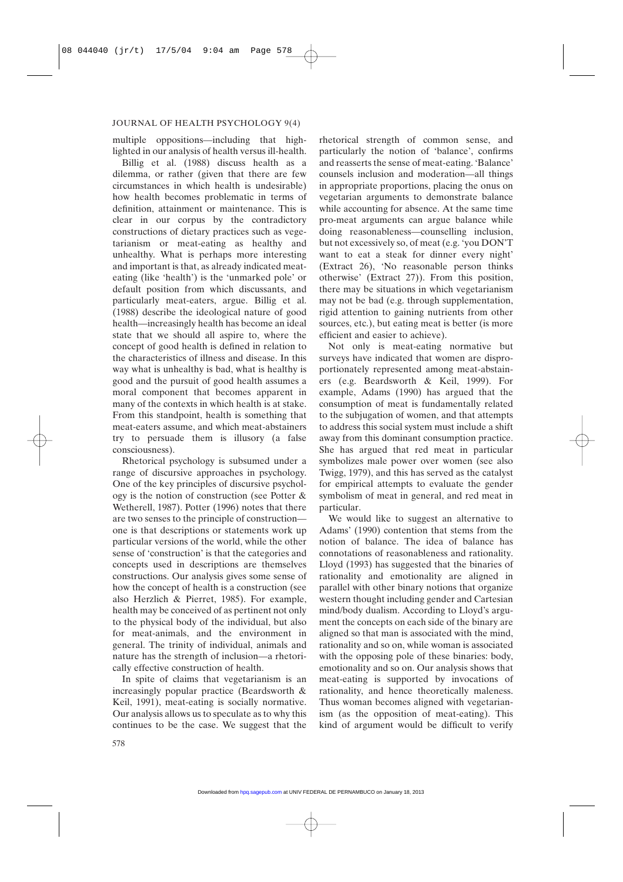multiple oppositions—including that highlighted in our analysis of health versus ill-health.

Billig et al. (1988) discuss health as a dilemma, or rather (given that there are few circumstances in which health is undesirable) how health becomes problematic in terms of definition, attainment or maintenance. This is clear in our corpus by the contradictory constructions of dietary practices such as vegetarianism or meat-eating as healthy and unhealthy. What is perhaps more interesting and important is that, as already indicated meateating (like 'health') is the 'unmarked pole' or default position from which discussants, and particularly meat-eaters, argue. Billig et al. (1988) describe the ideological nature of good health—increasingly health has become an ideal state that we should all aspire to, where the concept of good health is defined in relation to the characteristics of illness and disease. In this way what is unhealthy is bad, what is healthy is good and the pursuit of good health assumes a moral component that becomes apparent in many of the contexts in which health is at stake. From this standpoint, health is something that meat-eaters assume, and which meat-abstainers try to persuade them is illusory (a false consciousness).

Rhetorical psychology is subsumed under a range of discursive approaches in psychology. One of the key principles of discursive psychology is the notion of construction (see Potter & Wetherell, 1987). Potter (1996) notes that there are two senses to the principle of construction one is that descriptions or statements work up particular versions of the world, while the other sense of 'construction' is that the categories and concepts used in descriptions are themselves constructions. Our analysis gives some sense of how the concept of health is a construction (see also Herzlich & Pierret, 1985). For example, health may be conceived of as pertinent not only to the physical body of the individual, but also for meat-animals, and the environment in general. The trinity of individual, animals and nature has the strength of inclusion—a rhetorically effective construction of health.

In spite of claims that vegetarianism is an increasingly popular practice (Beardsworth & Keil, 1991), meat-eating is socially normative. Our analysis allows us to speculate as to why this continues to be the case. We suggest that the

rhetorical strength of common sense, and particularly the notion of 'balance', confirms and reasserts the sense of meat-eating. 'Balance' counsels inclusion and moderation—all things in appropriate proportions, placing the onus on vegetarian arguments to demonstrate balance while accounting for absence. At the same time pro-meat arguments can argue balance while doing reasonableness—counselling inclusion, but not excessively so, of meat (e.g. 'you DON'T want to eat a steak for dinner every night' (Extract 26), 'No reasonable person thinks otherwise' (Extract 27)). From this position, there may be situations in which vegetarianism may not be bad (e.g. through supplementation, rigid attention to gaining nutrients from other sources, etc.), but eating meat is better (is more efficient and easier to achieve).

Not only is meat-eating normative but surveys have indicated that women are disproportionately represented among meat-abstainers (e.g. Beardsworth & Keil, 1999). For example, Adams (1990) has argued that the consumption of meat is fundamentally related to the subjugation of women, and that attempts to address this social system must include a shift away from this dominant consumption practice. She has argued that red meat in particular symbolizes male power over women (see also Twigg, 1979), and this has served as the catalyst for empirical attempts to evaluate the gender symbolism of meat in general, and red meat in particular.

We would like to suggest an alternative to Adams' (1990) contention that stems from the notion of balance. The idea of balance has connotations of reasonableness and rationality. Lloyd (1993) has suggested that the binaries of rationality and emotionality are aligned in parallel with other binary notions that organize western thought including gender and Cartesian mind/body dualism. According to Lloyd's argument the concepts on each side of the binary are aligned so that man is associated with the mind, rationality and so on, while woman is associated with the opposing pole of these binaries: body, emotionality and so on. Our analysis shows that meat-eating is supported by invocations of rationality, and hence theoretically maleness. Thus woman becomes aligned with vegetarianism (as the opposition of meat-eating). This kind of argument would be difficult to verify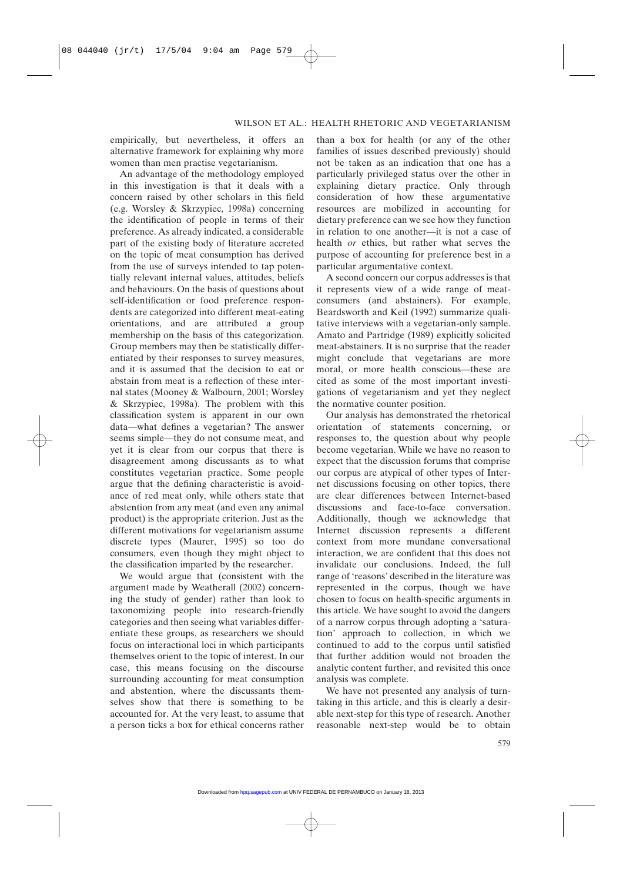empirically, but nevertheless, it offers an alternative framework for explaining why more women than men practise vegetarianism.

An advantage of the methodology employed in this investigation is that it deals with a concern raised by other scholars in this field (e.g. Worsley & Skrzypiec, 1998a) concerning the identification of people in terms of their preference. As already indicated, a considerable part of the existing body of literature accreted on the topic of meat consumption has derived from the use of surveys intended to tap potentially relevant internal values, attitudes, beliefs and behaviours. On the basis of questions about self-identification or food preference respondents are categorized into different meat-eating orientations, and are attributed a group membership on the basis of this categorization. Group members may then be statistically differentiated by their responses to survey measures, and it is assumed that the decision to eat or abstain from meat is a reflection of these internal states (Mooney & Walbourn, 2001; Worsley & Skrzypiec, 1998a). The problem with this classification system is apparent in our own data—what defines a vegetarian? The answer seems simple—they do not consume meat, and yet it is clear from our corpus that there is disagreement among discussants as to what constitutes vegetarian practice. Some people argue that the defining characteristic is avoidance of red meat only, while others state that abstention from any meat (and even any animal product) is the appropriate criterion. Just as the different motivations for vegetarianism assume discrete types (Maurer, 1995) so too do consumers, even though they might object to the classification imparted by the researcher.

We would argue that (consistent with the argument made by Weatherall (2002) concerning the study of gender) rather than look to taxonomizing people into research-friendly categories and then seeing what variables differentiate these groups, as researchers we should focus on interactional loci in which participants themselves orient to the topic of interest. In our case, this means focusing on the discourse surrounding accounting for meat consumption and abstention, where the discussants themselves show that there is something to be accounted for. At the very least, to assume that a person ticks a box for ethical concerns rather

than a box for health (or any of the other families of issues described previously) should not be taken as an indication that one has a particularly privileged status over the other in explaining dietary practice. Only through consideration of how these argumentative resources are mobilized in accounting for dietary preference can we see how they function in relation to one another—it is not a case of health *or* ethics, but rather what serves the purpose of accounting for preference best in a particular argumentative context.

A second concern our corpus addresses is that it represents view of a wide range of meatconsumers (and abstainers). For example, Beardsworth and Keil (1992) summarize qualitative interviews with a vegetarian-only sample. Amato and Partridge (1989) explicitly solicited meat-abstainers. It is no surprise that the reader might conclude that vegetarians are more moral, or more health conscious—these are cited as some of the most important investigations of vegetarianism and yet they neglect the normative counter position.

Our analysis has demonstrated the rhetorical orientation of statements concerning, responses to, the question about why people become vegetarian. While we have no reason to expect that the discussion forums that comprise our corpus are atypical of other types of Internet discussions focusing on other topics, there are clear differences between Internet-based discussions and face-to-face conversation. Additionally, though we acknowledge that Internet discussion represents a different context from more mundane conversational interaction, we are confident that this does not invalidate our conclusions. Indeed, the full range of 'reasons' described in the literature was represented in the corpus, though we have chosen to focus on health-specific arguments in this article. We have sought to avoid the dangers of a narrow corpus through adopting a 'saturation' approach to collection, in which we continued to add to the corpus until satisfied that further addition would not broaden the analytic content further, and revisited this once analysis was complete.

We have not presented any analysis of turntaking in this article, and this is clearly a desirable next-step for this type of research. Another reasonable next-step would be to obtain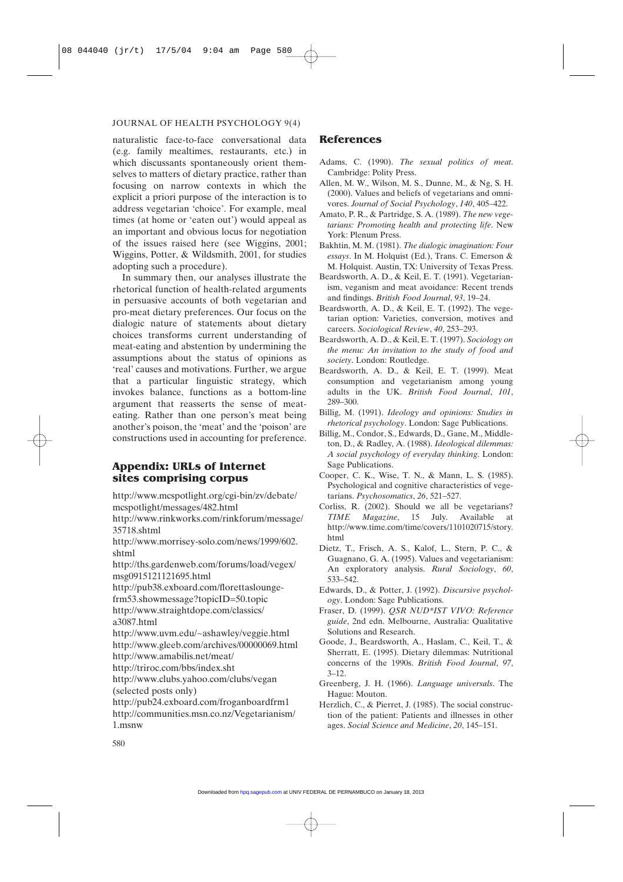naturalistic face-to-face conversational data (e.g. family mealtimes, restaurants, etc.) in which discussants spontaneously orient themselves to matters of dietary practice, rather than focusing on narrow contexts in which the explicit a priori purpose of the interaction is to address vegetarian 'choice'. For example, meal times (at home or 'eaten out') would appeal as an important and obvious locus for negotiation of the issues raised here (see Wiggins, 2001; Wiggins, Potter, & Wildsmith, 2001, for studies adopting such a procedure).

In summary then, our analyses illustrate the rhetorical function of health-related arguments in persuasive accounts of both vegetarian and pro-meat dietary preferences. Our focus on the dialogic nature of statements about dietary choices transforms current understanding of meat-eating and abstention by undermining the assumptions about the status of opinions as 'real' causes and motivations. Further, we argue that a particular linguistic strategy, which invokes balance, functions as a bottom-line argument that reasserts the sense of meateating. Rather than one person's meat being another's poison, the 'meat' and the 'poison' are constructions used in accounting for preference.

## **Appendix: URLs of Internet sites comprising corpus**

http://www.mcspotlight.org/cgi-bin/zv/debate/ mcspotlight/messages/482.html

http://www.rinkworks.com/rinkforum/message/ 35718.shtml

http://www.morrisey-solo.com/news/1999/602. shtml

http://ths.gardenweb.com/forums/load/vegex/ msg0915121121695.html

http://pub38.exboard.com/florettaslounge-

frm53.showmessage?topicID=50.topic http://www.straightdope.com/classics/

a3087.html

http://www.uvm.edu/~ashawley/veggie.html http://www.gleeb.com/archives/00000069.html http://www.amabilis.net/meat/

http://triroc.com/bbs/index.sht

http://www.clubs.yahoo.com/clubs/vegan (selected posts only)

http://pub24.exboard.com/froganboardfrm1 http://communities.msn.co.nz/Vegetarianism/ 1.msnw

#### **References**

- Adams, C. (1990). *The sexual politics of meat*. Cambridge: Polity Press.
- Allen, M. W., Wilson, M. S., Dunne, M., & Ng, S. H. (2000). Values and beliefs of vegetarians and omnivores. *Journal of Social Psychology*, *140*, 405–422.
- Amato, P. R., & Partridge, S. A. (1989). *The new vegetarians: Promoting health and protecting life*. New York: Plenum Press.
- Bakhtin, M. M. (1981). *The dialogic imagination: Four essays*. In M. Holquist (Ed.), Trans. C. Emerson & M. Holquist. Austin, TX: University of Texas Press.
- Beardsworth, A. D., & Keil, E. T. (1991). Vegetarianism, veganism and meat avoidance: Recent trends and findings. *British Food Journal*, *93*, 19–24.
- Beardsworth, A. D., & Keil, E. T. (1992). The vegetarian option: Varieties, conversion, motives and careers. *Sociological Review*, *40*, 253–293.
- Beardsworth, A. D., & Keil, E. T. (1997). *Sociology on the menu: An invitation to the study of food and society*. London: Routledge.
- Beardsworth, A. D., & Keil, E. T. (1999). Meat consumption and vegetarianism among young adults in the UK. *British Food Journal*, *101*, 289–300.
- Billig, M. (1991). *Ideology and opinions: Studies in rhetorical psychology*. London: Sage Publications.
- Billig, M., Condor, S., Edwards, D., Gane, M., Middleton, D., & Radley, A. (1988). *Ideological dilemmas: A social psychology of everyday thinking*. London: Sage Publications.
- Cooper, C. K., Wise, T. N., & Mann, L. S. (1985). Psychological and cognitive characteristics of vegetarians. *Psychosomatics*, *26*, 521–527.
- Corliss, R. (2002). Should we all be vegetarians? *TIME Magazine*, 15 July. Available at http://www.time.com/time/covers/1101020715/story. html
- Dietz, T., Frisch, A. S., Kalof, L., Stern, P. C., & Guagnano, G. A. (1995). Values and vegetarianism: An exploratory analysis. *Rural Sociology*, *60*, 533–542.
- Edwards, D., & Potter, J. (1992). *Discursive psychology*. London: Sage Publications.
- Fraser, D. (1999). *QSR NUD\*IST VIVO: Reference guide*, 2nd edn. Melbourne, Australia: Qualitative Solutions and Research.
- Goode, J., Beardsworth, A., Haslam, C., Keil, T., & Sherratt, E. (1995). Dietary dilemmas: Nutritional concerns of the 1990s. *British Food Journal*, *97*, 3–12.
- Greenberg, J. H. (1966). *Language universals*. The Hague: Mouton.
- Herzlich, C., & Pierret, J. (1985). The social construction of the patient: Patients and illnesses in other ages. *Social Science and Medicine*, *20*, 145–151.

580